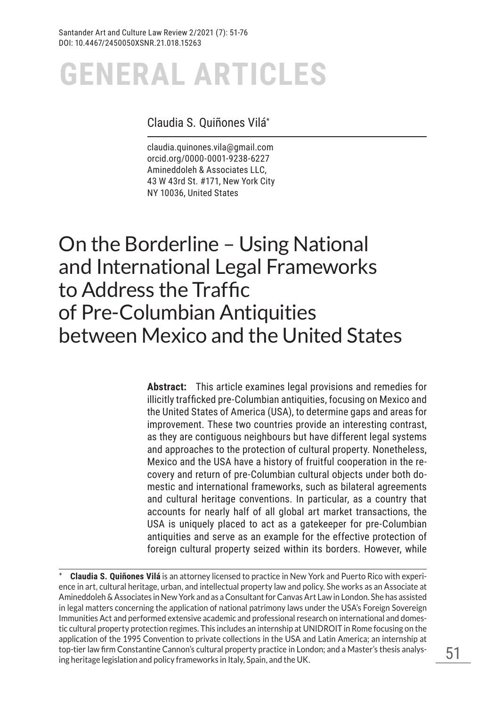## Claudia S. Quiñones Vilá\*

claudia.quinones.vila@gmail.com orcid.org/0000-0001-9238-6227 Amineddoleh & Associates LLC, 43 W 43rd St. #171, New York City NY 10036, United States

# On the Borderline – Using National and International Legal Frameworks to Address the Traffic of Pre-Columbian Antiquities between Mexico and the United States

**Abstract:** This article examines legal provisions and remedies for illicitly trafficked pre-Columbian antiquities, focusing on Mexico and the United States of America (USA), to determine gaps and areas for improvement. These two countries provide an interesting contrast, as they are contiguous neighbours but have different legal systems and approaches to the protection of cultural property. Nonetheless, Mexico and the USA have a history of fruitful cooperation in the recovery and return of pre-Columbian cultural objects under both domestic and international frameworks, such as bilateral agreements and cultural heritage conventions. In particular, as a country that accounts for nearly half of all global art market transactions, the USA is uniquely placed to act as a gatekeeper for pre-Columbian antiquities and serve as an example for the effective protection of foreign cultural property seized within its borders. However, while

<sup>\*</sup> **Claudia S. Quiñones Vilá** is an attorney licensed to practice in New York and Puerto Rico with experience in art, cultural heritage, urban, and intellectual property law and policy. She works as an Associate at Amineddoleh & Associates in New York and as a Consultant for Canvas Art Law in London. She has assisted in legal matters concerning the application of national patrimony laws under the USA's Foreign Sovereign Immunities Act and performed extensive academic and professional research on international and domestic cultural property protection regimes. This includes an internship at UNIDROIT in Rome focusing on the application of the 1995 Convention to private collections in the USA and Latin America; an internship at top-tier law firm Constantine Cannon's cultural property practice in London; and a Master's thesis analysing heritage legislation and policy frameworks in Italy, Spain, and the UK.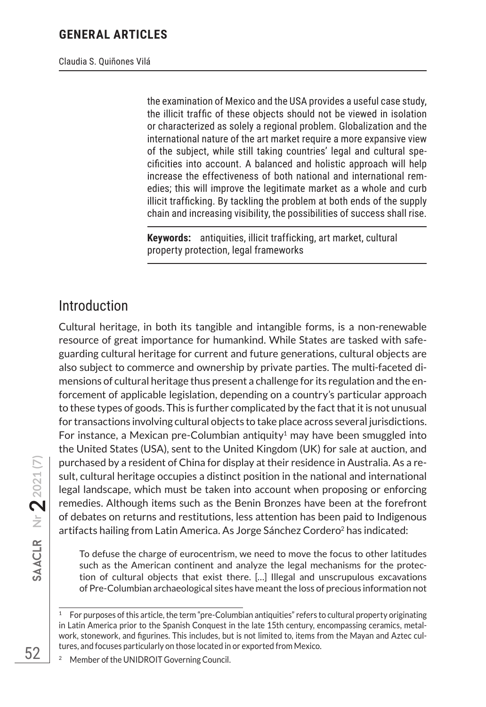Claudia S. Quiñones Vilá

the examination of Mexico and the USA provides a useful case study, the illicit traffic of these objects should not be viewed in isolation or characterized as solely a regional problem. Globalization and the international nature of the art market require a more expansive view of the subject, while still taking countries' legal and cultural specificities into account. A balanced and holistic approach will help increase the effectiveness of both national and international remedies; this will improve the legitimate market as a whole and curb illicit trafficking. By tackling the problem at both ends of the supply chain and increasing visibility, the possibilities of success shall rise.

**Keywords:** antiquities, illicit trafficking, art market, cultural property protection, legal frameworks

# Introduction

Cultural heritage, in both its tangible and intangible forms, is a non-renewable resource of great importance for humankind. While States are tasked with safeguarding cultural heritage for current and future generations, cultural objects are also subject to commerce and ownership by private parties. The multi-faceted dimensions of cultural heritage thus present a challenge for its regulation and the enforcement of applicable legislation, depending on a country's particular approach to these types of goods. This is further complicated by the fact that it is not unusual for transactions involving cultural objects to take place across several jurisdictions. For instance, a Mexican pre-Columbian antiquity<sup>1</sup> may have been smuggled into the United States (USA), sent to the United Kingdom (UK) for sale at auction, and purchased by a resident of China for display at their residence in Australia. As a result, cultural heritage occupies a distinct position in the national and international legal landscape, which must be taken into account when proposing or enforcing remedies. Although items such as the Benin Bronzes have been at the forefront of debates on returns and restitutions, less attention has been paid to Indigenous artifacts hailing from Latin America. As Jorge Sánchez Cordero<sup>2</sup> has indicated:

To defuse the charge of eurocentrism, we need to move the focus to other latitudes such as the American continent and analyze the legal mechanisms for the protection of cultural objects that exist there. […] Illegal and unscrupulous excavations of Pre-Columbian archaeological sites have meant the loss of precious information not

<sup>1</sup> For purposes of this article, the term "pre-Columbian antiquities" refers to cultural property originating in Latin America prior to the Spanish Conquest in the late 15th century, encompassing ceramics, metalwork, stonework, and figurines. This includes, but is not limited to, items from the Mayan and Aztec cultures, and focuses particularly on those located in or exported from Mexico.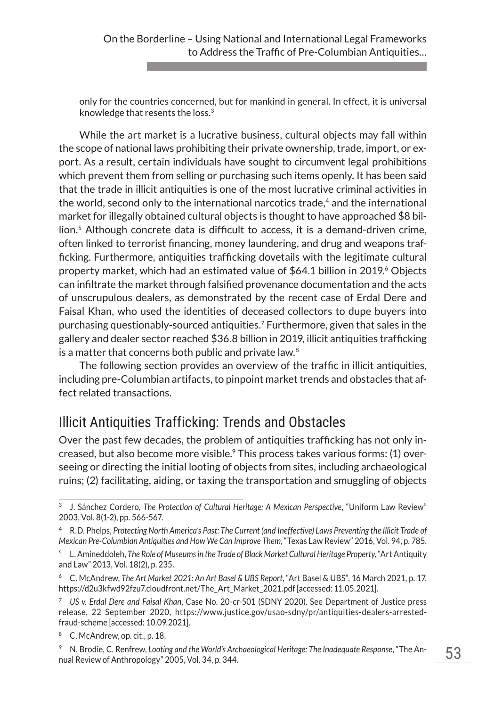only for the countries concerned, but for mankind in general. In effect, it is universal knowledge that resents the loss.<sup>3</sup>

While the art market is a lucrative business, cultural objects may fall within the scope of national laws prohibiting their private ownership, trade, import, or export. As a result, certain individuals have sought to circumvent legal prohibitions which prevent them from selling or purchasing such items openly. It has been said that the trade in illicit antiquities is one of the most lucrative criminal activities in the world, second only to the international narcotics trade,<sup>4</sup> and the international market for illegally obtained cultural objects is thought to have approached \$8 bil- $\frac{1}{2}$  lion.<sup>5</sup> Although concrete data is difficult to access, it is a demand-driven crime, often linked to terrorist financing, money laundering, and drug and weapons trafficking. Furthermore, antiquities trafficking dovetails with the legitimate cultural property market, which had an estimated value of \$64.1 billion in 2019.<sup>6</sup> Objects can infiltrate the market through falsified provenance documentation and the acts of unscrupulous dealers, as demonstrated by the recent case of Erdal Dere and Faisal Khan, who used the identities of deceased collectors to dupe buyers into purchasing questionably-sourced antiquities.7 Furthermore, given that sales in the gallery and dealer sector reached \$36.8 billion in 2019, illicit antiquities trafficking is a matter that concerns both public and private law.<sup>8</sup>

The following section provides an overview of the traffic in illicit antiquities, including pre-Columbian artifacts, to pinpoint market trends and obstacles that affect related transactions.

# Illicit Antiquities Trafficking: Trends and Obstacles

Over the past few decades, the problem of antiquities trafficking has not only increased, but also become more visible.9 This process takes various forms: (1) overseeing or directing the initial looting of objects from sites, including archaeological ruins; (2) facilitating, aiding, or taxing the transportation and smuggling of objects

<sup>3</sup> J. Sánchez Cordero, *The Protection of Cultural Heritage: A Mexican Perspective*, "Uniform Law Review" 2003, Vol. 8(1-2), pp. 566-567.

<sup>4</sup> R.D. Phelps, *Protecting North America's Past: The Current (and Ineffective) Laws Preventing the Illicit Trade of Mexican Pre-Columbian Antiquities and How We Can Improve Them*, "Texas Law Review" 2016, Vol. 94, p. 785.

<sup>5</sup> L. Amineddoleh, *The Role of Museums in the Trade of Black Market Cultural Heritage Property*, "Art Antiquity and Law" 2013, Vol. 18(2), p. 235.

<sup>6</sup> C. McAndrew, *The Art Market 2021: An Art Basel & UBS Report*, "Art Basel & UBS", 16 March 2021, p. 17, https://d2u3kfwd92fzu7.cloudfront.net/The\_Art\_Market\_2021.pdf [accessed: 11.05.2021].

<sup>7</sup> *US v. Erdal Dere and Faisal Khan*, Case No. 20-cr-501 (SDNY 2020). See Department of Justice press release, 22 September 2020, https://www.justice.gov/usao-sdny/pr/antiquities-dealers-arrestedfraud-scheme [accessed: 10.09.2021].

<sup>8</sup> C. McAndrew, op. cit., p. 18.

<sup>9</sup> N. Brodie, C. Renfrew, *Looting and the World's Archaeological Heritage: The Inadequate Response*, "The Annual Review of Anthropology" 2005, Vol. 34, p. 344.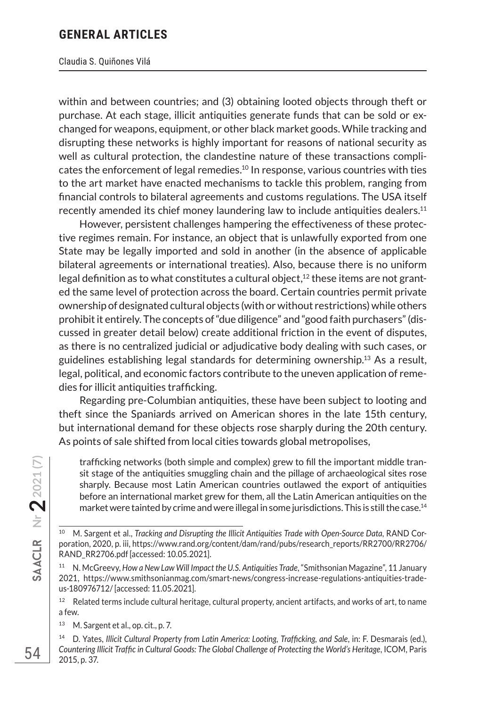#### Claudia S. Quiñones Vilá

within and between countries; and (3) obtaining looted objects through theft or purchase. At each stage, illicit antiquities generate funds that can be sold or exchanged for weapons, equipment, or other black market goods. While tracking and disrupting these networks is highly important for reasons of national security as well as cultural protection, the clandestine nature of these transactions complicates the enforcement of legal remedies.10 In response, various countries with ties to the art market have enacted mechanisms to tackle this problem, ranging from financial controls to bilateral agreements and customs regulations. The USA itself recently amended its chief money laundering law to include antiquities dealers.11

However, persistent challenges hampering the effectiveness of these protective regimes remain. For instance, an object that is unlawfully exported from one State may be legally imported and sold in another (in the absence of applicable bilateral agreements or international treaties). Also, because there is no uniform legal definition as to what constitutes a cultural object, $^{12}$  these items are not granted the same level of protection across the board. Certain countries permit private ownership of designated cultural objects (with or without restrictions) while others prohibit it entirely. The concepts of "due diligence" and "good faith purchasers" (discussed in greater detail below) create additional friction in the event of disputes, as there is no centralized judicial or adjudicative body dealing with such cases, or guidelines establishing legal standards for determining ownership.<sup>13</sup> As a result, legal, political, and economic factors contribute to the uneven application of remedies for illicit antiquities trafficking.

Regarding pre-Columbian antiquities, these have been subject to looting and theft since the Spaniards arrived on American shores in the late 15th century, but international demand for these objects rose sharply during the 20th century. As points of sale shifted from local cities towards global metropolises,

trafficking networks (both simple and complex) grew to fill the important middle transit stage of the antiquities smuggling chain and the pillage of archaeological sites rose sharply. Because most Latin American countries outlawed the export of antiquities before an international market grew for them, all the Latin American antiquities on the market were tainted by crime and were illegal in some jurisdictions. This is still the case.<sup>14</sup>

<sup>13</sup> M. Sargent et al., op. cit., p. 7.

<sup>10</sup> M. Sargent et al., *Tracking and Disrupting the Illicit Antiquities Trade with Open-Source Data*, RAND Corporation, 2020, p. iii, https://www.rand.org/content/dam/rand/pubs/research\_reports/RR2700/RR2706/ RAND\_RR2706.pdf [accessed: 10.05.2021].

<sup>11</sup> N. McGreevy, *How a New Law Will Impact the U.S. Antiquities Trade*, "Smithsonian Magazine", 11 January 2021, https://www.smithsonianmag.com/smart-news/congress-increase-regulations-antiquities-tradeus-180976712/ [accessed: 11.05.2021].

 $12$  Related terms include cultural heritage, cultural property, ancient artifacts, and works of art, to name a few.

<sup>14</sup> D. Yates, *Illicit Cultural Property from Latin America: Looting, Trafficking, and Sale*, in: F. Desmarais (ed.), *Countering Illicit Traffic in Cultural Goods: The Global Challenge of Protecting the World's Heritage*, ICOM, Paris 2015, p. 37.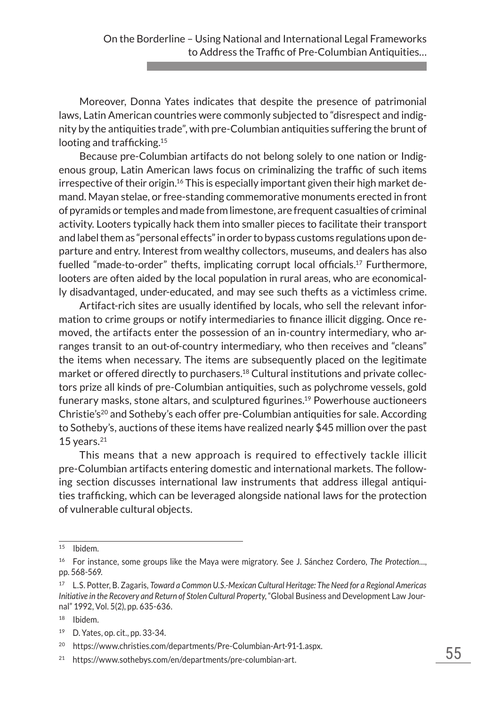Moreover, Donna Yates indicates that despite the presence of patrimonial laws, Latin American countries were commonly subjected to "disrespect and indignity by the antiquities trade", with pre-Columbian antiquities suffering the brunt of looting and trafficking.<sup>15</sup>

Because pre-Columbian artifacts do not belong solely to one nation or Indigenous group, Latin American laws focus on criminalizing the traffic of such items irrespective of their origin.<sup>16</sup> This is especially important given their high market demand. Mayan stelae, or free-standing commemorative monuments erected in front of pyramids or temples and made from limestone, are frequent casualties of criminal activity. Looters typically hack them into smaller pieces to facilitate their transport and label them as "personal effects" in order to bypass customs regulations upon departure and entry. Interest from wealthy collectors, museums, and dealers has also fuelled "made-to-order" thefts, implicating corrupt local officials.17 Furthermore, looters are often aided by the local population in rural areas, who are economically disadvantaged, under-educated, and may see such thefts as a victimless crime.

Artifact-rich sites are usually identified by locals, who sell the relevant information to crime groups or notify intermediaries to finance illicit digging. Once removed, the artifacts enter the possession of an in-country intermediary, who arranges transit to an out-of-country intermediary, who then receives and "cleans" the items when necessary. The items are subsequently placed on the legitimate market or offered directly to purchasers.18 Cultural institutions and private collectors prize all kinds of pre-Columbian antiquities, such as polychrome vessels, gold funerary masks, stone altars, and sculptured figurines.<sup>19</sup> Powerhouse auctioneers Christie's<sup>20</sup> and Sotheby's each offer pre-Columbian antiquities for sale. According to Sotheby's, auctions of these items have realized nearly \$45 million over the past 15 years. $21$ 

This means that a new approach is required to effectively tackle illicit pre-Columbian artifacts entering domestic and international markets. The following section discusses international law instruments that address illegal antiquities trafficking, which can be leveraged alongside national laws for the protection of vulnerable cultural objects.

<sup>18</sup> Ibidem.

<sup>15</sup> Ibidem.

<sup>16</sup> For instance, some groups like the Maya were migratory. See J. Sánchez Cordero, *The Protection…*, pp. 568-569.

<sup>17</sup> L.S. Potter, B. Zagaris, *Toward a Common U.S.-Mexican Cultural Heritage: The Need for a Regional Americas Initiative in the Recovery and Return of Stolen Cultural Property*, "Global Business and Development Law Journal" 1992, Vol. 5(2), pp. 635-636.

<sup>19</sup> D. Yates, op. cit., pp. 33-34.

<sup>20</sup> https://www.christies.com/departments/Pre-Columbian-Art-91-1.aspx.

<sup>21</sup> https://www.sothebys.com/en/departments/pre-columbian-art.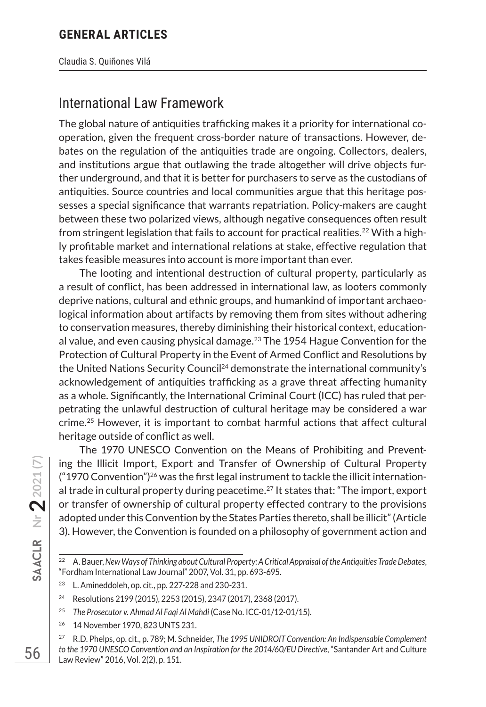Claudia S. Quiñones Vilá

# International Law Framework

The global nature of antiquities trafficking makes it a priority for international cooperation, given the frequent cross-border nature of transactions. However, debates on the regulation of the antiquities trade are ongoing. Collectors, dealers, and institutions argue that outlawing the trade altogether will drive objects further underground, and that it is better for purchasers to serve as the custodians of antiquities. Source countries and local communities argue that this heritage possesses a special significance that warrants repatriation. Policy-makers are caught between these two polarized views, although negative consequences often result from stringent legislation that fails to account for practical realities.<sup>22</sup> With a highly profitable market and international relations at stake, effective regulation that takes feasible measures into account is more important than ever.

The looting and intentional destruction of cultural property, particularly as a result of conflict, has been addressed in international law, as looters commonly deprive nations, cultural and ethnic groups, and humankind of important archaeological information about artifacts by removing them from sites without adhering to conservation measures, thereby diminishing their historical context, educational value, and even causing physical damage. $^{23}$  The 1954 Hague Convention for the Protection of Cultural Property in the Event of Armed Conflict and Resolutions by the United Nations Security Council<sup>24</sup> demonstrate the international community's acknowledgement of antiquities trafficking as a grave threat affecting humanity as a whole. Significantly, the International Criminal Court (ICC) has ruled that perpetrating the unlawful destruction of cultural heritage may be considered a war crime.25 However, it is important to combat harmful actions that affect cultural heritage outside of conflict as well.

The 1970 UNESCO Convention on the Means of Prohibiting and Preventing the Illicit Import, Export and Transfer of Ownership of Cultural Property  $("1970$  Convention")<sup>26</sup> was the first legal instrument to tackle the illicit international trade in cultural property during peacetime.<sup>27</sup> It states that: "The import, export or transfer of ownership of cultural property effected contrary to the provisions adopted under this Convention by the States Parties thereto, shall be illicit" (Article 3). However, the Convention is founded on a philosophy of government action and

- <sup>25</sup> *The Prosecutor v. Ahmad Al Faqi Al Mahdi* (Case No. ICC-01/12-01/15).
- <sup>26</sup> 14 November 1970, 823 UNTS 231.

**Nr 22021 (7)**

<sup>22</sup> A. Bauer, *New Ways of Thinking about Cultural Property: A Critical Appraisal of the Antiquities Trade Debates*, "Fordham International Law Journal" 2007, Vol. 31, pp. 693-695.

<sup>23</sup> L. Amineddoleh, op. cit., pp. 227-228 and 230-231.

<sup>24</sup> Resolutions 2199 (2015), 2253 (2015), 2347 (2017), 2368 (2017).

<sup>27</sup> R.D. Phelps, op. cit., p. 789; M. Schneider, *The 1995 UNIDROIT Convention: An Indispensable Complement*  to the 1970 UNESCO Convention and an Inspiration for the 2014/60/EU Directive, "Santander Art and Culture Law Review" 2016, Vol. 2(2), p. 151.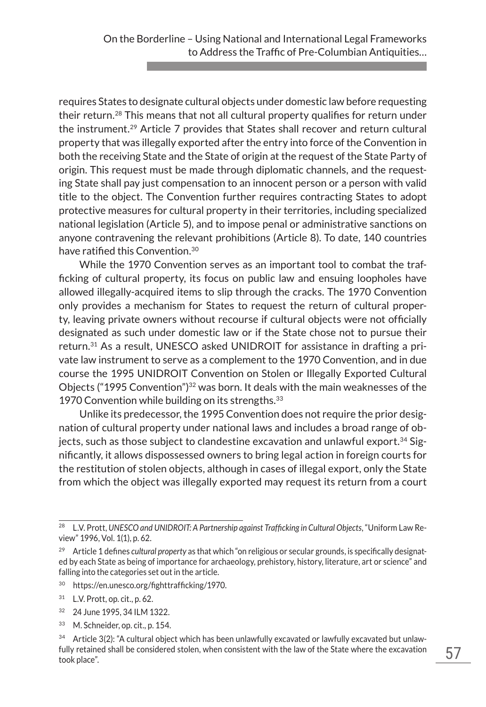requires States to designate cultural objects under domestic law before requesting their return.28 This means that not all cultural property qualifies for return under the instrument.<sup>29</sup> Article 7 provides that States shall recover and return cultural property that was illegally exported after the entry into force of the Convention in both the receiving State and the State of origin at the request of the State Party of origin. This request must be made through diplomatic channels, and the requesting State shall pay just compensation to an innocent person or a person with valid title to the object. The Convention further requires contracting States to adopt protective measures for cultural property in their territories, including specialized national legislation (Article 5), and to impose penal or administrative sanctions on anyone contravening the relevant prohibitions (Article 8). To date, 140 countries have ratified this Convention.30

While the 1970 Convention serves as an important tool to combat the trafficking of cultural property, its focus on public law and ensuing loopholes have allowed illegally-acquired items to slip through the cracks. The 1970 Convention only provides a mechanism for States to request the return of cultural property, leaving private owners without recourse if cultural objects were not officially designated as such under domestic law or if the State chose not to pursue their return.31 As a result, UNESCO asked UNIDROIT for assistance in drafting a private law instrument to serve as a complement to the 1970 Convention, and in due course the 1995 UNIDROIT Convention on Stolen or Illegally Exported Cultural Objects ("1995 Convention")<sup>32</sup> was born. It deals with the main weaknesses of the 1970 Convention while building on its strengths. $33$ 

Unlike its predecessor, the 1995 Convention does not require the prior designation of cultural property under national laws and includes a broad range of objects, such as those subject to clandestine excavation and unlawful export.<sup>34</sup> Significantly, it allows dispossessed owners to bring legal action in foreign courts for the restitution of stolen objects, although in cases of illegal export, only the State from which the object was illegally exported may request its return from a court

- <sup>30</sup> https://en.unesco.org/fighttrafficking/1970.
- <sup>31</sup> L.V. Prott, op. cit., p. 62.
- <sup>32</sup> 24 June 1995, 34 ILM 1322.
- <sup>33</sup> M. Schneider, op. cit., p. 154.

<sup>28</sup> L.V. Prott, *UNESCO and UNIDROIT: A Partnership against Trafficking in Cultural Objects*, "Uniform Law Review" 1996, Vol. 1(1), p. 62.

<sup>29</sup> Article 1 defines *cultural property* as that which "on religious or secular grounds, is specifically designated by each State as being of importance for archaeology, prehistory, history, literature, art or science" and falling into the categories set out in the article.

<sup>&</sup>lt;sup>34</sup> Article 3(2): "A cultural object which has been unlawfully excavated or lawfully excavated but unlawfully retained shall be considered stolen, when consistent with the law of the State where the excavation took place".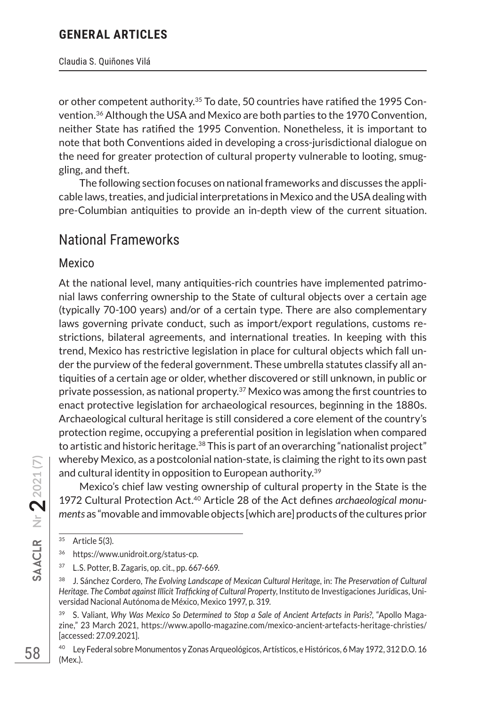#### Claudia S. Quiñones Vilá

or other competent authority.35 To date, 50 countries have ratified the 1995 Convention.36 Although the USA and Mexico are both parties to the 1970 Convention, neither State has ratified the 1995 Convention. Nonetheless, it is important to note that both Conventions aided in developing a cross-jurisdictional dialogue on the need for greater protection of cultural property vulnerable to looting, smuggling, and theft.

The following section focuses on national frameworks and discusses the applicable laws, treaties, and judicial interpretations in Mexico and the USA dealing with pre-Columbian antiquities to provide an in-depth view of the current situation.

# National Frameworks

#### Mexico

At the national level, many antiquities-rich countries have implemented patrimonial laws conferring ownership to the State of cultural objects over a certain age (typically 70-100 years) and/or of a certain type. There are also complementary laws governing private conduct, such as import/export regulations, customs restrictions, bilateral agreements, and international treaties. In keeping with this trend, Mexico has restrictive legislation in place for cultural objects which fall under the purview of the federal government. These umbrella statutes classify all antiquities of a certain age or older, whether discovered or still unknown, in public or private possession, as national property. $37$  Mexico was among the first countries to enact protective legislation for archaeological resources, beginning in the 1880s. Archaeological cultural heritage is still considered a core element of the country's protection regime, occupying a preferential position in legislation when compared to artistic and historic heritage. $38$  This is part of an overarching "nationalist project" whereby Mexico, as a postcolonial nation-state, is claiming the right to its own past and cultural identity in opposition to European authority.<sup>39</sup>

Mexico's chief law vesting ownership of cultural property in the State is the 1972 Cultural Protection Act.40 Article 28 of the Act defines *archaeological monuments* as "movable and immovable objects [which are] products of the cultures prior

<sup>35</sup> Article 5(3).

<sup>36</sup> https://www.unidroit.org/status-cp.

<sup>37</sup> L.S. Potter, B. Zagaris, op. cit., pp. 667-669.

<sup>38</sup> J. Sánchez Cordero, *The Evolving Landscape of Mexican Cultural Heritage*, in: *The Preservation of Cultural Heritage. The Combat against Illicit Trafficking of Cultural Property*, Instituto de Investigaciones Jurídicas, Universidad Nacional Autónoma de México, Mexico 1997, p. 319.

<sup>&</sup>lt;sup>39</sup> S. Valiant, *Why Was Mexico So Determined to Stop a Sale of Ancient Artefacts in Paris?*, "Apollo Magazine," 23 March 2021, https://www.apollo-magazine.com/mexico-ancient-artefacts-heritage-christies/ [accessed: 27.09.2021].

<sup>40</sup> Ley Federal sobre Monumentos y Zonas Arqueológicos, Artísticos, e Históricos, 6 May 1972, 312 D.O. 16 (Mex.).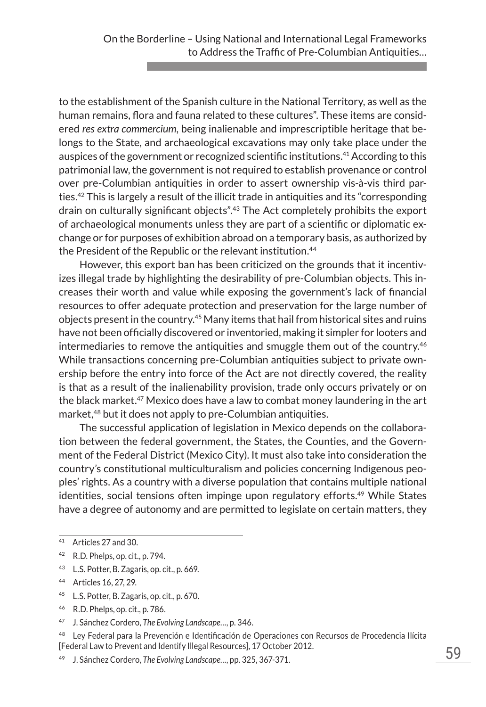to the establishment of the Spanish culture in the National Territory, as well as the human remains, flora and fauna related to these cultures". These items are considered *res extra commercium*, being inalienable and imprescriptible heritage that belongs to the State, and archaeological excavations may only take place under the auspices of the government or recognized scientific institutions.41 According to this patrimonial law, the government is not required to establish provenance or control over pre-Columbian antiquities in order to assert ownership vis-à-vis third parties.42 This is largely a result of the illicit trade in antiquities and its "corresponding drain on culturally significant objects".43 The Act completely prohibits the export of archaeological monuments unless they are part of a scientific or diplomatic exchange or for purposes of exhibition abroad on a temporary basis, as authorized by the President of the Republic or the relevant institution.<sup>44</sup>

However, this export ban has been criticized on the grounds that it incentivizes illegal trade by highlighting the desirability of pre-Columbian objects. This increases their worth and value while exposing the government's lack of financial resources to offer adequate protection and preservation for the large number of objects present in the country.45 Many items that hail from historical sites and ruins have not been officially discovered or inventoried, making it simpler for looters and intermediaries to remove the antiquities and smuggle them out of the country.<sup>46</sup> While transactions concerning pre-Columbian antiquities subject to private ownership before the entry into force of the Act are not directly covered, the reality is that as a result of the inalienability provision, trade only occurs privately or on the black market.<sup>47</sup> Mexico does have a law to combat money laundering in the art market,<sup>48</sup> but it does not apply to pre-Columbian antiquities.

The successful application of legislation in Mexico depends on the collaboration between the federal government, the States, the Counties, and the Government of the Federal District (Mexico City). It must also take into consideration the country's constitutional multiculturalism and policies concerning Indigenous peoples' rights. As a country with a diverse population that contains multiple national identities, social tensions often impinge upon regulatory efforts.<sup>49</sup> While States have a degree of autonomy and are permitted to legislate on certain matters, they

<sup>43</sup> L.S. Potter, B. Zagaris, op. cit., p. 669.

- <sup>45</sup> L.S. Potter, B. Zagaris, op. cit., p. 670.
- <sup>46</sup> R.D. Phelps, op. cit., p. 786.
- <sup>47</sup> J. Sánchez Cordero, *The Evolving Landscape…*, p. 346.

<sup>48</sup> Ley Federal para la Prevención e Identificación de Operaciones con Recursos de Procedencia Ilícita [Federal Law to Prevent and Identify Illegal Resources], 17 October 2012.

<sup>41</sup> Articles 27 and 30.

<sup>42</sup> R.D. Phelps, op. cit., p. 794.

<sup>44</sup> Articles 16, 27, 29.

<sup>49</sup> J. Sánchez Cordero, *The Evolving Landscape…*, pp. 325, 367-371.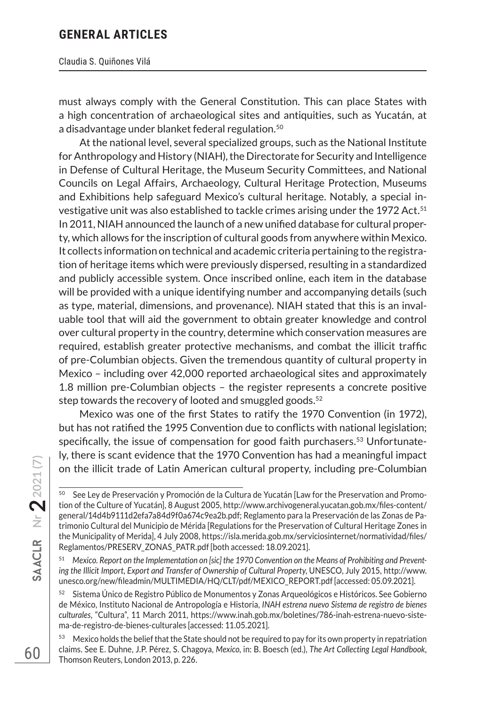#### Claudia S. Quiñones Vilá

must always comply with the General Constitution. This can place States with a high concentration of archaeological sites and antiquities, such as Yucatán, at a disadvantage under blanket federal regulation.50

At the national level, several specialized groups, such as the National Institute for Anthropology and History (NIAH), the Directorate for Security and Intelligence in Defense of Cultural Heritage, the Museum Security Committees, and National Councils on Legal Affairs, Archaeology, Cultural Heritage Protection, Museums and Exhibitions help safeguard Mexico's cultural heritage. Notably, a special investigative unit was also established to tackle crimes arising under the 1972 Act.<sup>51</sup> In 2011, NIAH announced the launch of a new unified database for cultural property, which allows for the inscription of cultural goods from anywhere within Mexico. It collects information on technical and academic criteria pertaining to the registration of heritage items which were previously dispersed, resulting in a standardized and publicly accessible system. Once inscribed online, each item in the database will be provided with a unique identifying number and accompanying details (such as type, material, dimensions, and provenance). NIAH stated that this is an invaluable tool that will aid the government to obtain greater knowledge and control over cultural property in the country, determine which conservation measures are required, establish greater protective mechanisms, and combat the illicit traffic of pre-Columbian objects. Given the tremendous quantity of cultural property in Mexico – including over 42,000 reported archaeological sites and approximately 1.8 million pre-Columbian objects – the register represents a concrete positive step towards the recovery of looted and smuggled goods.<sup>52</sup>

Mexico was one of the first States to ratify the 1970 Convention (in 1972), but has not ratified the 1995 Convention due to conflicts with national legislation; specifically, the issue of compensation for good faith purchasers.<sup>53</sup> Unfortunately, there is scant evidence that the 1970 Convention has had a meaningful impact on the illicit trade of Latin American cultural property, including pre-Columbian

<sup>&</sup>lt;sup>50</sup> See Ley de Preservación y Promoción de la Cultura de Yucatán [Law for the Preservation and Promotion of the Culture of Yucatán], 8 August 2005, http://www.archivogeneral.yucatan.gob.mx/files-content/ general/14d4b9111d2efa7a84d9f0a674c9ea2b.pdf; Reglamento para la Preservación de las Zonas de Patrimonio Cultural del Municipio de Mérida [Regulations for the Preservation of Cultural Heritage Zones in the Municipality of Merida], 4 July 2008, https://isla.merida.gob.mx/serviciosinternet/normatividad/files/ Reglamentos/PRESERV\_ZONAS\_PATR.pdf [both accessed: 18.09.2021].

<sup>51</sup> *Mexico. Report on the Implementation on [sic] the 1970 Convention on the Means of Prohibiting and Preventing the Illicit Import, Export and Transfer of Ownership of Cultural Property*, UNESCO, July 2015, http://www. unesco.org/new/fileadmin/MULTIMEDIA/HQ/CLT/pdf/MEXICO\_REPORT.pdf [accessed: 05.09.2021].

<sup>&</sup>lt;sup>52</sup> Sistema Único de Registro Público de Monumentos y Zonas Arqueológicos e Históricos. See Gobierno de México, Instituto Nacional de Antropología e Historia, *INAH estrena nuevo Sistema de registro de bienes culturales*, "Cultura", 11 March 2011, https://www.inah.gob.mx/boletines/786-inah-estrena-nuevo-sistema-de-registro-de-bienes-culturales [accessed: 11.05.2021].

<sup>53</sup> Mexico holds the belief that the State should not be required to pay for its own property in repatriation claims. See E. Duhne, J.P. Pérez, S. Chagoya, *Mexico*, in: B. Boesch (ed.), *The Art Collecting Legal Handbook*, Thomson Reuters, London 2013, p. 226.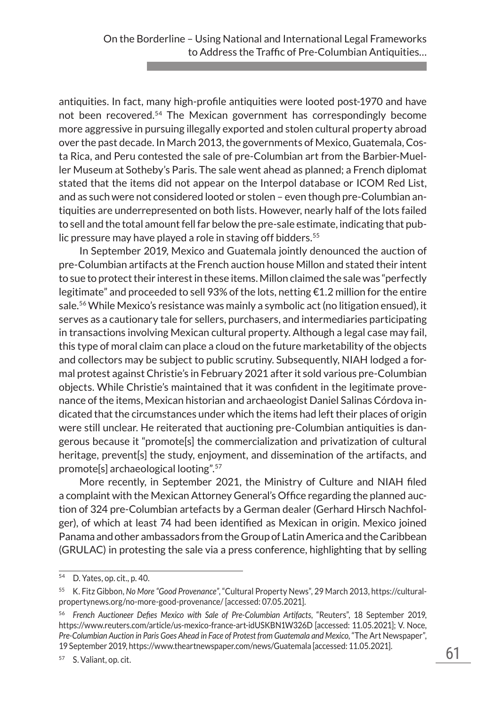antiquities. In fact, many high-profile antiquities were looted post-1970 and have not been recovered.54 The Mexican government has correspondingly become more aggressive in pursuing illegally exported and stolen cultural property abroad over the past decade. In March 2013, the governments of Mexico, Guatemala, Costa Rica, and Peru contested the sale of pre-Columbian art from the Barbier-Mueller Museum at Sotheby's Paris. The sale went ahead as planned; a French diplomat stated that the items did not appear on the Interpol database or ICOM Red List, and as such were not considered looted or stolen – even though pre-Columbian antiquities are underrepresented on both lists. However, nearly half of the lots failed to sell and the total amount fell far below the pre-sale estimate, indicating that public pressure may have played a role in staving off bidders.<sup>55</sup>

In September 2019, Mexico and Guatemala jointly denounced the auction of pre-Columbian artifacts at the French auction house Millon and stated their intent to sue to protect their interest in these items. Millon claimed the sale was "perfectly legitimate" and proceeded to sell 93% of the lots, netting  $\epsilon$ 1.2 million for the entire sale.<sup>56</sup> While Mexico's resistance was mainly a symbolic act (no litigation ensued), it serves as a cautionary tale for sellers, purchasers, and intermediaries participating in transactions involving Mexican cultural property. Although a legal case may fail, this type of moral claim can place a cloud on the future marketability of the objects and collectors may be subject to public scrutiny. Subsequently, NIAH lodged a formal protest against Christie's in February 2021 after it sold various pre-Columbian objects. While Christie's maintained that it was confident in the legitimate provenance of the items, Mexican historian and archaeologist Daniel Salinas Córdova indicated that the circumstances under which the items had left their places of origin were still unclear. He reiterated that auctioning pre-Columbian antiquities is dangerous because it "promote[s] the commercialization and privatization of cultural heritage, prevent[s] the study, enjoyment, and dissemination of the artifacts, and promote[s] archaeological looting".57

More recently, in September 2021, the Ministry of Culture and NIAH filed a complaint with the Mexican Attorney General's Office regarding the planned auction of 324 pre-Columbian artefacts by a German dealer (Gerhard Hirsch Nachfolger), of which at least 74 had been identified as Mexican in origin. Mexico joined Panama and other ambassadors from the Group of Latin America and the Caribbean (GRULAC) in protesting the sale via a press conference, highlighting that by selling

<sup>54</sup> D. Yates, op. cit., p. 40.

<sup>55</sup> K. Fitz Gibbon, *No More "Good Provenance"*, "Cultural Property News", 29 March 2013, https://culturalpropertynews.org/no-more-good-provenance/ [accessed: 07.05.2021].

<sup>56</sup> *French Auctioneer Defies Mexico with Sale of Pre-Columbian Artifacts*, "Reuters", 18 September 2019, https://www.reuters.com/article/us-mexico-france-art-idUSKBN1W326D [accessed: 11.05.2021]; V. Noce, Pre-Columbian Auction in Paris Goes Ahead in Face of Protest from Guatemala and Mexico, "The Art Newspaper", 19 September 2019, https://www.theartnewspaper.com/news/Guatemala [accessed: 11.05.2021].

<sup>57</sup> S. Valiant, op. cit.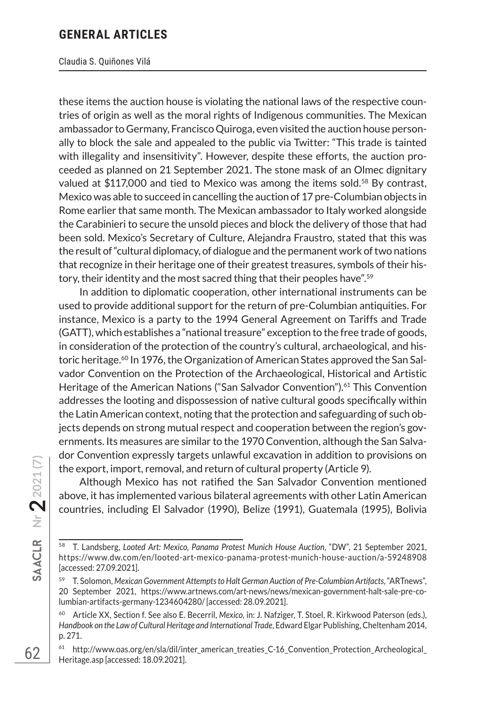#### Claudia S. Quiñones Vilá

these items the auction house is violating the national laws of the respective countries of origin as well as the moral rights of Indigenous communities. The Mexican ambassador to Germany, Francisco Quiroga, even visited the auction house personally to block the sale and appealed to the public via Twitter: "This trade is tainted with illegality and insensitivity". However, despite these efforts, the auction proceeded as planned on 21 September 2021. The stone mask of an Olmec dignitary valued at  $$117,000$  and tied to Mexico was among the items sold.<sup>58</sup> By contrast, Mexico was able to succeed in cancelling the auction of 17 pre-Columbian objects in Rome earlier that same month. The Mexican ambassador to Italy worked alongside the Carabinieri to secure the unsold pieces and block the delivery of those that had been sold. Mexico's Secretary of Culture, Alejandra Fraustro, stated that this was the result of "cultural diplomacy, of dialogue and the permanent work of two nations that recognize in their heritage one of their greatest treasures, symbols of their history, their identity and the most sacred thing that their peoples have".<sup>59</sup>

In addition to diplomatic cooperation, other international instruments can be used to provide additional support for the return of pre-Columbian antiquities. For instance, Mexico is a party to the 1994 General Agreement on Tariffs and Trade (GATT), which establishes a "national treasure" exception to the free trade of goods, in consideration of the protection of the country's cultural, archaeological, and historic heritage.<sup>60</sup> In 1976, the Organization of American States approved the San Salvador Convention on the Protection of the Archaeological, Historical and Artistic Heritage of the American Nations ("San Salvador Convention").<sup>61</sup> This Convention addresses the looting and dispossession of native cultural goods specifically within the Latin American context, noting that the protection and safeguarding of such objects depends on strong mutual respect and cooperation between the region's governments. Its measures are similar to the 1970 Convention, although the San Salvador Convention expressly targets unlawful excavation in addition to provisions on the export, import, removal, and return of cultural property (Article 9).

Although Mexico has not ratified the San Salvador Convention mentioned above, it has implemented various bilateral agreements with other Latin American countries, including El Salvador (1990), Belize (1991), Guatemala (1995), Bolivia

<sup>58</sup> T. Landsberg, *Looted Art: Mexico, Panama Protest Munich House Auction*, "DW", 21 September 2021, https://www.dw.com/en/looted-art-mexico-panama-protest-munich-house-auction/a-59248908 [accessed: 27.09.2021].

<sup>59</sup> T. Solomon, *Mexican Government Attempts to Halt German Auction of Pre-Columbian Artifacts*, "ARTnews", 20 September 2021, https://www.artnews.com/art-news/news/mexican-government-halt-sale-pre-columbian-artifacts-germany-1234604280/ [accessed: 28.09.2021].

<sup>60</sup> Article XX, Section f. See also E. Becerril, *Mexico*, in: J. Nafziger, T. Stoel, R. Kirkwood Paterson (eds.), *Handbook on the Law of Cultural Heritage and International Trade*, Edward Elgar Publishing, Cheltenham 2014, p. 271.

<sup>&</sup>lt;sup>61</sup> http://www.oas.org/en/sla/dil/inter\_american\_treaties\_C-16\_Convention\_Protection\_Archeological\_ Heritage.asp [accessed: 18.09.2021].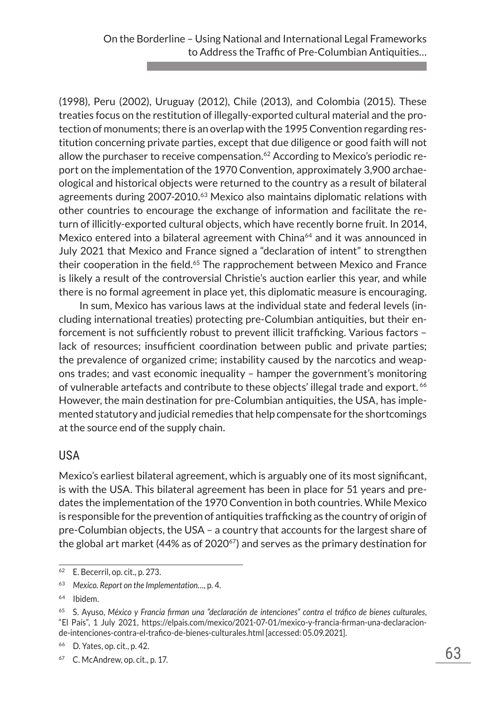(1998), Peru (2002), Uruguay (2012), Chile (2013), and Colombia (2015). These treaties focus on the restitution of illegally-exported cultural material and the protection of monuments; there is an overlap with the 1995 Convention regarding restitution concerning private parties, except that due diligence or good faith will not allow the purchaser to receive compensation. $62$  According to Mexico's periodic report on the implementation of the 1970 Convention, approximately 3,900 archaeological and historical objects were returned to the country as a result of bilateral agreements during 2007-2010.<sup>63</sup> Mexico also maintains diplomatic relations with other countries to encourage the exchange of information and facilitate the return of illicitly-exported cultural objects, which have recently borne fruit. In 2014, Mexico entered into a bilateral agreement with China<sup>64</sup> and it was announced in July 2021 that Mexico and France signed a "declaration of intent" to strengthen their cooperation in the field.<sup>65</sup> The rapprochement between Mexico and France is likely a result of the controversial Christie's auction earlier this year, and while there is no formal agreement in place yet, this diplomatic measure is encouraging.

In sum, Mexico has various laws at the individual state and federal levels (including international treaties) protecting pre-Columbian antiquities, but their enforcement is not sufficiently robust to prevent illicit trafficking. Various factors – lack of resources; insufficient coordination between public and private parties; the prevalence of organized crime; instability caused by the narcotics and weapons trades; and vast economic inequality – hamper the government's monitoring of vulnerable artefacts and contribute to these objects' illegal trade and export. <sup>66</sup> However, the main destination for pre-Columbian antiquities, the USA, has implemented statutory and judicial remedies that help compensate for the shortcomings at the source end of the supply chain.

#### USA

Mexico's earliest bilateral agreement, which is arguably one of its most significant, is with the USA. This bilateral agreement has been in place for 51 years and predates the implementation of the 1970 Convention in both countries. While Mexico is responsible for the prevention of antiquities trafficking as the country of origin of pre-Columbian objects, the USA – a country that accounts for the largest share of the global art market (44% as of  $2020^{67}$ ) and serves as the primary destination for

<sup>62</sup> E. Becerril, op. cit., p. 273.

<sup>63</sup> *Mexico. Report on the Implementation…*, p. 4.

<sup>64</sup> Ibidem.

<sup>65</sup> S. Ayuso, *México y Francia firman una "declaración de intenciones" contra el tráfico de bienes culturales*, "El País", 1 July 2021, https://elpais.com/mexico/2021-07-01/mexico-y-francia-firman-una-declaracionde-intenciones-contra-el-trafico-de-bienes-culturales.html [accessed: 05.09.2021].

<sup>66</sup> D. Yates, op. cit., p. 42.

<sup>67</sup> C. McAndrew, op. cit., p. 17.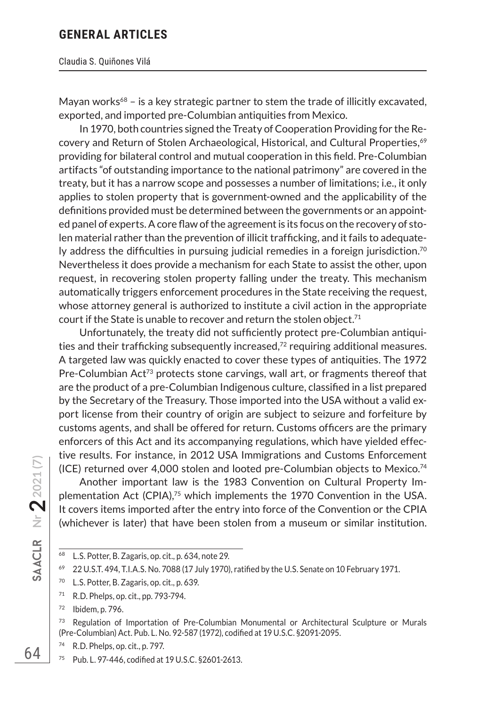Mayan works $68 -$  is a key strategic partner to stem the trade of illicitly excavated, exported, and imported pre-Columbian antiquities from Mexico.

In 1970, both countries signed the Treaty of Cooperation Providing for the Recovery and Return of Stolen Archaeological, Historical, and Cultural Properties,<sup>69</sup> providing for bilateral control and mutual cooperation in this field. Pre-Columbian artifacts "of outstanding importance to the national patrimony" are covered in the treaty, but it has a narrow scope and possesses a number of limitations; i.e., it only applies to stolen property that is government-owned and the applicability of the definitions provided must be determined between the governments or an appointed panel of experts. A core flaw of the agreement is its focus on the recovery of stolen material rather than the prevention of illicit trafficking, and it fails to adequately address the difficulties in pursuing judicial remedies in a foreign jurisdiction.<sup>70</sup> Nevertheless it does provide a mechanism for each State to assist the other, upon request, in recovering stolen property falling under the treaty. This mechanism automatically triggers enforcement procedures in the State receiving the request, whose attorney general is authorized to institute a civil action in the appropriate court if the State is unable to recover and return the stolen object.<sup>71</sup>

Unfortunately, the treaty did not sufficiently protect pre-Columbian antiquities and their trafficking subsequently increased, $72$  requiring additional measures. A targeted law was quickly enacted to cover these types of antiquities. The 1972 Pre-Columbian  $Act^{73}$  protects stone carvings, wall art, or fragments thereof that are the product of a pre-Columbian Indigenous culture, classified in a list prepared by the Secretary of the Treasury. Those imported into the USA without a valid export license from their country of origin are subject to seizure and forfeiture by customs agents, and shall be offered for return. Customs officers are the primary enforcers of this Act and its accompanying regulations, which have yielded effective results. For instance, in 2012 USA Immigrations and Customs Enforcement (ICE) returned over 4,000 stolen and looted pre-Columbian objects to Mexico.<sup>74</sup>

Another important law is the 1983 Convention on Cultural Property Implementation Act (CPIA), $75$  which implements the 1970 Convention in the USA. It covers items imported after the entry into force of the Convention or the CPIA (whichever is later) that have been stolen from a museum or similar institution.

<sup>68</sup> L.S. Potter, B. Zagaris, op. cit., p. 634, note 29.

<sup>69</sup> 22 U.S.T. 494, T.I.A.S. No. 7088 (17 July 1970), ratified by the U.S. Senate on 10 February 1971.

<sup>70</sup> L.S. Potter, B. Zagaris, op. cit., p. 639.

<sup>71</sup> R.D. Phelps, op. cit., pp. 793-794.

<sup>72</sup> Ibidem, p. 796.

<sup>&</sup>lt;sup>73</sup> Regulation of Importation of Pre-Columbian Monumental or Architectural Sculpture or Murals (Pre-Columbian) Act. Pub. L. No. 92-587 (1972), codified at 19 U.S.C. §2091-2095.

<sup>74</sup> R.D. Phelps, op. cit., p. 797.

<sup>75</sup> Pub. L. 97-446, codified at 19 U.S.C. §2601-2613.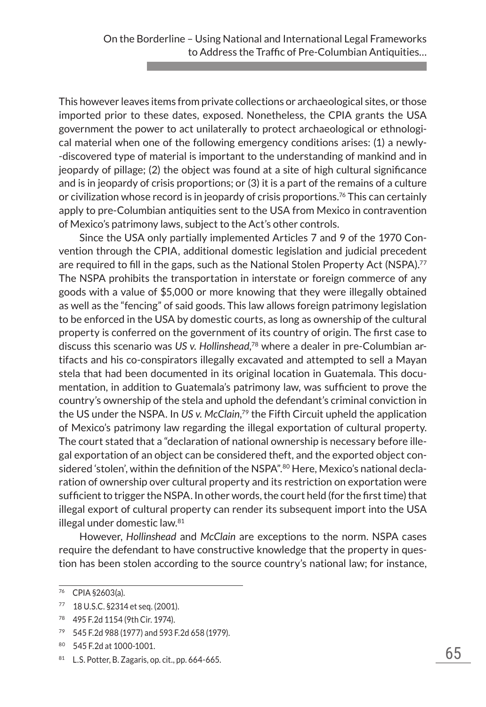This however leaves items from private collections or archaeological sites, or those imported prior to these dates, exposed. Nonetheless, the CPIA grants the USA government the power to act unilaterally to protect archaeological or ethnological material when one of the following emergency conditions arises: (1) a newly- -discovered type of material is important to the understanding of mankind and in jeopardy of pillage; (2) the object was found at a site of high cultural significance and is in jeopardy of crisis proportions; or (3) it is a part of the remains of a culture or civilization whose record is in jeopardy of crisis proportions.<sup>76</sup> This can certainly apply to pre-Columbian antiquities sent to the USA from Mexico in contravention of Mexico's patrimony laws, subject to the Act's other controls.

Since the USA only partially implemented Articles 7 and 9 of the 1970 Convention through the CPIA, additional domestic legislation and judicial precedent are required to fill in the gaps, such as the National Stolen Property Act (NSPA).<sup>77</sup> The NSPA prohibits the transportation in interstate or foreign commerce of any goods with a value of \$5,000 or more knowing that they were illegally obtained as well as the "fencing" of said goods. This law allows foreign patrimony legislation to be enforced in the USA by domestic courts, as long as ownership of the cultural property is conferred on the government of its country of origin. The first case to discuss this scenario was *US v. Hollinshead*, 78 where a dealer in pre-Columbian artifacts and his co-conspirators illegally excavated and attempted to sell a Mayan stela that had been documented in its original location in Guatemala. This documentation, in addition to Guatemala's patrimony law, was sufficient to prove the country's ownership of the stela and uphold the defendant's criminal conviction in the US under the NSPA. In *US v. McClain*, 79 the Fifth Circuit upheld the application of Mexico's patrimony law regarding the illegal exportation of cultural property. The court stated that a "declaration of national ownership is necessary before illegal exportation of an object can be considered theft, and the exported object considered 'stolen', within the definition of the NSPA".<sup>80</sup> Here, Mexico's national declaration of ownership over cultural property and its restriction on exportation were sufficient to trigger the NSPA. In other words, the court held (for the first time) that illegal export of cultural property can render its subsequent import into the USA illegal under domestic law.<sup>81</sup>

However, *Hollinshead* and *McClain* are exceptions to the norm. NSPA cases require the defendant to have constructive knowledge that the property in question has been stolen according to the source country's national law; for instance,

<sup>76</sup> CPIA §2603(a).

<sup>77</sup> 18 U.S.C. §2314 et seq. (2001).

<sup>78</sup> 495 F.2d 1154 (9th Cir. 1974).

<sup>79</sup> 545 F.2d 988 (1977) and 593 F.2d 658 (1979).

<sup>80</sup> 545 F.2d at 1000-1001.

 $81$  L.S. Potter, B. Zagaris, op. cit., pp. 664-665.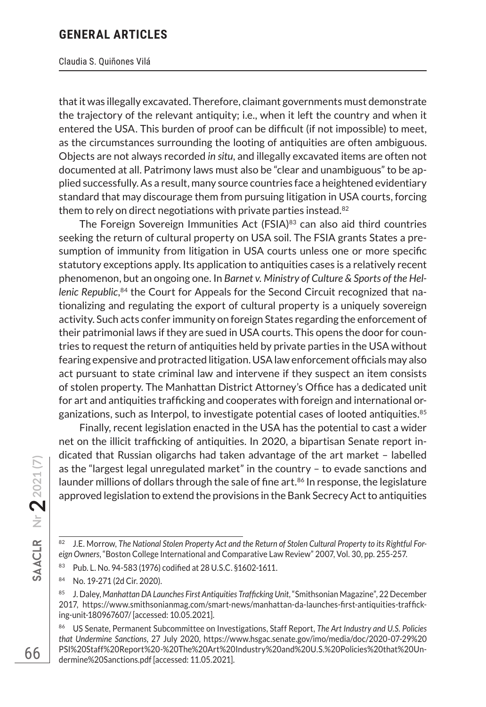#### Claudia S. Quiñones Vilá

that it was illegally excavated. Therefore, claimant governments must demonstrate the trajectory of the relevant antiquity; i.e., when it left the country and when it entered the USA. This burden of proof can be difficult (if not impossible) to meet, as the circumstances surrounding the looting of antiquities are often ambiguous. Objects are not always recorded *in situ*, and illegally excavated items are often not documented at all. Patrimony laws must also be "clear and unambiguous" to be applied successfully. As a result, many source countries face a heightened evidentiary standard that may discourage them from pursuing litigation in USA courts, forcing them to rely on direct negotiations with private parties instead.<sup>82</sup>

The Foreign Sovereign Immunities Act (FSIA)<sup>83</sup> can also aid third countries seeking the return of cultural property on USA soil. The FSIA grants States a presumption of immunity from litigation in USA courts unless one or more specific statutory exceptions apply. Its application to antiquities cases is a relatively recent phenomenon, but an ongoing one. In *Barnet v. Ministry of Culture & Sports of the Hellenic Republic*, 84 the Court for Appeals for the Second Circuit recognized that nationalizing and regulating the export of cultural property is a uniquely sovereign activity. Such acts confer immunity on foreign States regarding the enforcement of their patrimonial laws if they are sued in USA courts. This opens the door for countries to request the return of antiquities held by private parties in the USA without fearing expensive and protracted litigation. USA law enforcement officials may also act pursuant to state criminal law and intervene if they suspect an item consists of stolen property. The Manhattan District Attorney's Office has a dedicated unit for art and antiquities trafficking and cooperates with foreign and international organizations, such as Interpol, to investigate potential cases of looted antiquities.<sup>85</sup>

Finally, recent legislation enacted in the USA has the potential to cast a wider net on the illicit trafficking of antiquities. In 2020, a bipartisan Senate report indicated that Russian oligarchs had taken advantage of the art market – labelled as the "largest legal unregulated market" in the country – to evade sanctions and launder millions of dollars through the sale of fine art. $86$  In response, the legislature approved legislation to extend the provisions in the Bank Secrecy Act to antiquities

<sup>84</sup> No. 19-271 (2d Cir. 2020).

<sup>82</sup> J.E. Morrow, The National Stolen Property Act and the Return of Stolen Cultural Property to its Rightful For*eign Owners*, "Boston College International and Comparative Law Review" 2007, Vol. 30, pp. 255-257.

<sup>83</sup> Pub. L. No. 94-583 (1976) codified at 28 U.S.C. §1602-1611.

<sup>85</sup> J. Daley, *Manhattan DA Launches First Antiquities Trafficking Unit*, "Smithsonian Magazine", 22 December 2017, https://www.smithsonianmag.com/smart-news/manhattan-da-launches-first-antiquities-trafficking-unit-180967607/ [accessed: 10.05.2021].

<sup>86</sup> US Senate, Permanent Subcommittee on Investigations, Staff Report, *The Art Industry and U.S. Policies that Undermine Sanctions*, 27 July 2020, https://www.hsgac.senate.gov/imo/media/doc/2020-07-29%20 PSI%20Staff%20Report%20-%20The%20Art%20Industry%20and%20U.S.%20Policies%20that%20Undermine%20Sanctions.pdf [accessed: 11.05.2021].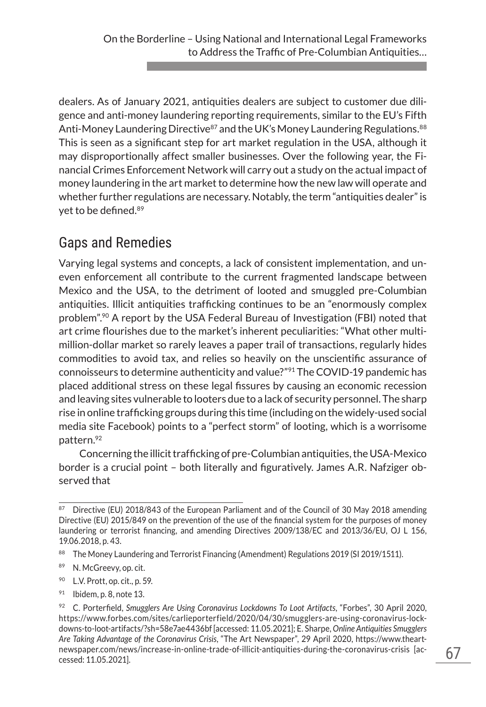dealers. As of January 2021, antiquities dealers are subject to customer due diligence and anti-money laundering reporting requirements, similar to the EU's Fifth Anti-Money Laundering Directive<sup>87</sup> and the UK's Money Laundering Regulations.<sup>88</sup> This is seen as a significant step for art market regulation in the USA, although it may disproportionally affect smaller businesses. Over the following year, the Financial Crimes Enforcement Network will carry out a study on the actual impact of money laundering in the art market to determine how the new law will operate and whether further regulations are necessary. Notably, the term "antiquities dealer" is yet to be defined.<sup>89</sup>

# Gaps and Remedies

Varying legal systems and concepts, a lack of consistent implementation, and uneven enforcement all contribute to the current fragmented landscape between Mexico and the USA, to the detriment of looted and smuggled pre-Columbian antiquities. Illicit antiquities trafficking continues to be an "enormously complex problem".<sup>90</sup> A report by the USA Federal Bureau of Investigation (FBI) noted that art crime flourishes due to the market's inherent peculiarities: "What other multimillion-dollar market so rarely leaves a paper trail of transactions, regularly hides commodities to avoid tax, and relies so heavily on the unscientific assurance of connoisseurs to determine authenticity and value?"91 The COVID-19 pandemic has placed additional stress on these legal fissures by causing an economic recession and leaving sites vulnerable to looters due to a lack of security personnel. The sharp rise in online trafficking groups during this time (including on the widely-used social media site Facebook) points to a "perfect storm" of looting, which is a worrisome pattern.92

Concerning the illicit trafficking of pre-Columbian antiquities, the USA-Mexico border is a crucial point – both literally and figuratively. James A.R. Nafziger observed that

- <sup>90</sup> L.V. Prott, op. cit., p. 59.
- $91$  Ibidem, p. 8, note 13.

<sup>&</sup>lt;sup>87</sup> Directive (EU) 2018/843 of the European Parliament and of the Council of 30 May 2018 amending Directive (EU) 2015/849 on the prevention of the use of the financial system for the purposes of money laundering or terrorist financing, and amending Directives 2009/138/EC and 2013/36/EU, OJ L 156, 19.06.2018, p. 43.

<sup>88</sup> The Money Laundering and Terrorist Financing (Amendment) Regulations 2019 (SI 2019/1511).

<sup>89</sup> N. McGreevy, op. cit.

<sup>92</sup> C. Porterfield, *Smugglers Are Using Coronavirus Lockdowns To Loot Artifacts*, "Forbes", 30 April 2020, https://www.forbes.com/sites/carlieporterfield/2020/04/30/smugglers-are-using-coronavirus-lockdowns-to-loot-artifacts/?sh=58e7ae4436bf [accessed: 11.05.2021]; E. Sharpe, *Online Antiquities Smugglers Are Taking Advantage of the Coronavirus Crisis*, "The Art Newspaper", 29 April 2020, https://www.theartnewspaper.com/news/increase-in-online-trade-of-illicit-antiquities-during-the-coronavirus-crisis [accessed: 11.05.2021].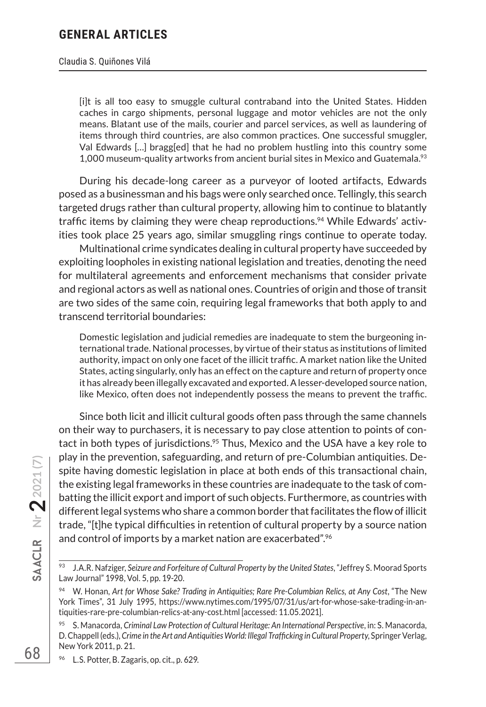#### Claudia S. Quiñones Vilá

[i]t is all too easy to smuggle cultural contraband into the United States. Hidden caches in cargo shipments, personal luggage and motor vehicles are not the only means. Blatant use of the mails, courier and parcel services, as well as laundering of items through third countries, are also common practices. One successful smuggler, Val Edwards […] bragg[ed] that he had no problem hustling into this country some 1,000 museum-quality artworks from ancient burial sites in Mexico and Guatemala.<sup>93</sup>

During his decade-long career as a purveyor of looted artifacts, Edwards posed as a businessman and his bags were only searched once. Tellingly, this search targeted drugs rather than cultural property, allowing him to continue to blatantly traffic items by claiming they were cheap reproductions.<sup>94</sup> While Edwards' activities took place 25 years ago, similar smuggling rings continue to operate today.

Multinational crime syndicates dealing in cultural property have succeeded by exploiting loopholes in existing national legislation and treaties, denoting the need for multilateral agreements and enforcement mechanisms that consider private and regional actors as well as national ones. Countries of origin and those of transit are two sides of the same coin, requiring legal frameworks that both apply to and transcend territorial boundaries:

Domestic legislation and judicial remedies are inadequate to stem the burgeoning international trade. National processes, by virtue of their status as institutions of limited authority, impact on only one facet of the illicit traffic. A market nation like the United States, acting singularly, only has an effect on the capture and return of property once it has already been illegally excavated and exported. A lesser-developed source nation, like Mexico, often does not independently possess the means to prevent the traffic.

Since both licit and illicit cultural goods often pass through the same channels on their way to purchasers, it is necessary to pay close attention to points of contact in both types of jurisdictions.<sup>95</sup> Thus, Mexico and the USA have a key role to play in the prevention, safeguarding, and return of pre-Columbian antiquities. Despite having domestic legislation in place at both ends of this transactional chain, the existing legal frameworks in these countries are inadequate to the task of combatting the illicit export and import of such objects. Furthermore, as countries with different legal systems who share a common border that facilitates the flow of illicit trade, "[t]he typical difficulties in retention of cultural property by a source nation and control of imports by a market nation are exacerbated".<sup>96</sup>

<sup>93</sup> J.A.R. Nafziger, *Seizure and Forfeiture of Cultural Property by the United States*, "Jeffrey S. Moorad Sports Law Journal" 1998, Vol. 5, pp. 19-20.

<sup>94</sup> W. Honan, *Art for Whose Sake? Trading in Antiquities; Rare Pre-Columbian Relics, at Any Cost*, "The New York Times", 31 July 1995, https://www.nytimes.com/1995/07/31/us/art-for-whose-sake-trading-in-antiquities-rare-pre-columbian-relics-at-any-cost.html [accessed: 11.05.2021].

<sup>95</sup> S. Manacorda, *Criminal Law Protection of Cultural Heritage: An International Perspective*, in: S. Manacorda, D. Chappell (eds.), *Crime in the Art and Antiquities World: Illegal Trafficking in Cultural Property*, Springer Verlag, New York 2011, p. 21.

<sup>96</sup> L.S. Potter, B. Zagaris, op. cit., p. 629.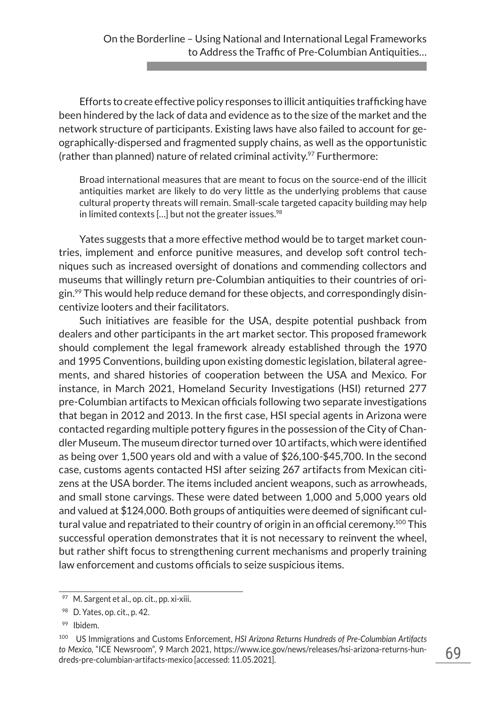Efforts to create effective policy responses to illicit antiquities trafficking have been hindered by the lack of data and evidence as to the size of the market and the network structure of participants. Existing laws have also failed to account for geographically-dispersed and fragmented supply chains, as well as the opportunistic (rather than planned) nature of related criminal activity. $97$  Furthermore:

Broad international measures that are meant to focus on the source-end of the illicit antiquities market are likely to do very little as the underlying problems that cause cultural property threats will remain. Small-scale targeted capacity building may help in limited contexts  $\left[ \ldots \right]$  but not the greater issues.<sup>98</sup>

Yates suggests that a more effective method would be to target market countries, implement and enforce punitive measures, and develop soft control techniques such as increased oversight of donations and commending collectors and museums that willingly return pre-Columbian antiquities to their countries of ori- $\sin^{9}$  This would help reduce demand for these objects, and correspondingly disincentivize looters and their facilitators.

Such initiatives are feasible for the USA, despite potential pushback from dealers and other participants in the art market sector. This proposed framework should complement the legal framework already established through the 1970 and 1995 Conventions, building upon existing domestic legislation, bilateral agreements, and shared histories of cooperation between the USA and Mexico. For instance, in March 2021, Homeland Security Investigations (HSI) returned 277 pre-Columbian artifacts to Mexican officials following two separate investigations that began in 2012 and 2013. In the first case, HSI special agents in Arizona were contacted regarding multiple pottery figures in the possession of the City of Chandler Museum. The museum director turned over 10 artifacts, which were identified as being over 1,500 years old and with a value of \$26,100-\$45,700. In the second case, customs agents contacted HSI after seizing 267 artifacts from Mexican citizens at the USA border. The items included ancient weapons, such as arrowheads, and small stone carvings. These were dated between 1,000 and 5,000 years old and valued at \$124,000. Both groups of antiquities were deemed of significant cultural value and repatriated to their country of origin in an official ceremony.<sup>100</sup> This successful operation demonstrates that it is not necessary to reinvent the wheel, but rather shift focus to strengthening current mechanisms and properly training law enforcement and customs officials to seize suspicious items.

 $97$  M. Sargent et al., op. cit., pp. xi-xiii.

<sup>98</sup> D. Yates, op. cit., p. 42.

<sup>99</sup> Ibidem.

<sup>100</sup> US Immigrations and Customs Enforcement, *HSI Arizona Returns Hundreds of Pre-Columbian Artifacts to Mexico*, "ICE Newsroom", 9 March 2021, https://www.ice.gov/news/releases/hsi-arizona-returns-hundreds-pre-columbian-artifacts-mexico [accessed: 11.05.2021].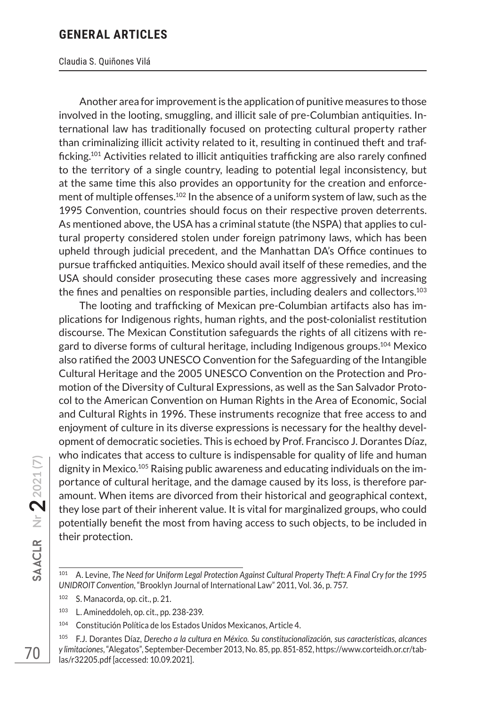#### Claudia S. Quiñones Vilá

Another area for improvement is the application of punitive measures to those involved in the looting, smuggling, and illicit sale of pre-Columbian antiquities. International law has traditionally focused on protecting cultural property rather than criminalizing illicit activity related to it, resulting in continued theft and trafficking.<sup>101</sup> Activities related to illicit antiquities trafficking are also rarely confined to the territory of a single country, leading to potential legal inconsistency, but at the same time this also provides an opportunity for the creation and enforcement of multiple offenses.<sup>102</sup> In the absence of a uniform system of law, such as the 1995 Convention, countries should focus on their respective proven deterrents. As mentioned above, the USA has a criminal statute (the NSPA) that applies to cultural property considered stolen under foreign patrimony laws, which has been upheld through judicial precedent, and the Manhattan DA's Office continues to pursue trafficked antiquities. Mexico should avail itself of these remedies, and the USA should consider prosecuting these cases more aggressively and increasing the fines and penalties on responsible parties, including dealers and collectors.<sup>103</sup>

The looting and trafficking of Mexican pre-Columbian artifacts also has implications for Indigenous rights, human rights, and the post-colonialist restitution discourse. The Mexican Constitution safeguards the rights of all citizens with regard to diverse forms of cultural heritage, including Indigenous groups.<sup>104</sup> Mexico also ratified the 2003 UNESCO Convention for the Safeguarding of the Intangible Cultural Heritage and the 2005 UNESCO Convention on the Protection and Promotion of the Diversity of Cultural Expressions, as well as the San Salvador Protocol to the American Convention on Human Rights in the Area of Economic, Social and Cultural Rights in 1996. These instruments recognize that free access to and enjoyment of culture in its diverse expressions is necessary for the healthy development of democratic societies. This is echoed by Prof. Francisco J. Dorantes Díaz, who indicates that access to culture is indispensable for quality of life and human dignity in Mexico.105 Raising public awareness and educating individuals on the importance of cultural heritage, and the damage caused by its loss, is therefore paramount. When items are divorced from their historical and geographical context, they lose part of their inherent value. It is vital for marginalized groups, who could potentially benefit the most from having access to such objects, to be included in their protection.

**Nr 22021 (7)**

<sup>101</sup> A. Levine, *The Need for Uniform Legal Protection Against Cultural Property Theft: A Final Cry for the 1995 UNIDROIT Convention*, "Brooklyn Journal of International Law" 2011, Vol. 36, p. 757.

<sup>102</sup> S. Manacorda, op. cit., p. 21.

<sup>103</sup> L. Amineddoleh, op. cit., pp. 238-239.

<sup>104</sup> Constitución Política de los Estados Unidos Mexicanos, Article 4.

<sup>105</sup> F.J. Dorantes Díaz, *Derecho a la cultura en México. Su constitucionalización, sus características, alcances y limitaciones*, "Alegatos", September-December 2013, No. 85, pp. 851-852, https://www.corteidh.or.cr/tablas/r32205.pdf [accessed: 10.09.2021].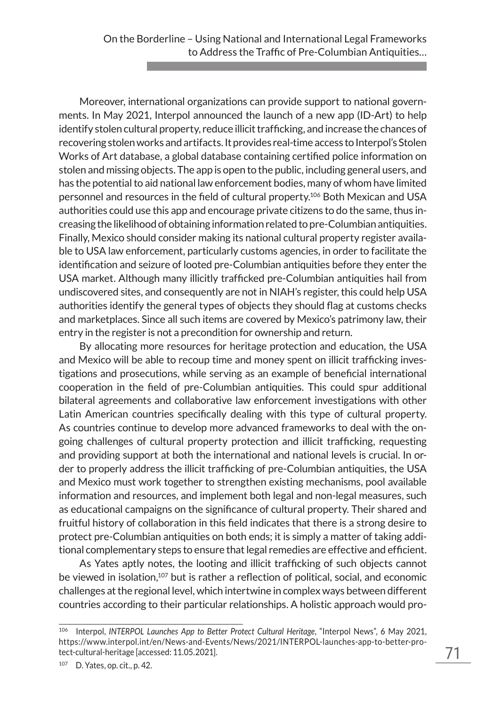Moreover, international organizations can provide support to national governments. In May 2021, Interpol announced the launch of a new app (ID-Art) to help identify stolen cultural property, reduce illicit trafficking, and increase the chances of recovering stolen works and artifacts. It provides real-time access to Interpol's Stolen Works of Art database, a global database containing certified police information on stolen and missing objects. The app is open to the public, including general users, and has the potential to aid national law enforcement bodies, many of whom have limited personnel and resources in the field of cultural property.106 Both Mexican and USA authorities could use this app and encourage private citizens to do the same, thus increasing the likelihood of obtaining information related to pre-Columbian antiquities. Finally, Mexico should consider making its national cultural property register available to USA law enforcement, particularly customs agencies, in order to facilitate the identification and seizure of looted pre-Columbian antiquities before they enter the USA market. Although many illicitly trafficked pre-Columbian antiquities hail from undiscovered sites, and consequently are not in NIAH's register, this could help USA authorities identify the general types of objects they should flag at customs checks and marketplaces. Since all such items are covered by Mexico's patrimony law, their entry in the register is not a precondition for ownership and return.

By allocating more resources for heritage protection and education, the USA and Mexico will be able to recoup time and money spent on illicit trafficking investigations and prosecutions, while serving as an example of beneficial international cooperation in the field of pre-Columbian antiquities. This could spur additional bilateral agreements and collaborative law enforcement investigations with other Latin American countries specifically dealing with this type of cultural property. As countries continue to develop more advanced frameworks to deal with the ongoing challenges of cultural property protection and illicit trafficking, requesting and providing support at both the international and national levels is crucial. In order to properly address the illicit trafficking of pre-Columbian antiquities, the USA and Mexico must work together to strengthen existing mechanisms, pool available information and resources, and implement both legal and non-legal measures, such as educational campaigns on the significance of cultural property. Their shared and fruitful history of collaboration in this field indicates that there is a strong desire to protect pre-Columbian antiquities on both ends; it is simply a matter of taking additional complementary steps to ensure that legal remedies are effective and efficient.

As Yates aptly notes, the looting and illicit trafficking of such objects cannot be viewed in isolation,<sup>107</sup> but is rather a reflection of political, social, and economic challenges at the regional level, which intertwine in complex ways between different countries according to their particular relationships. A holistic approach would pro-

<sup>106</sup> Interpol, *INTERPOL Launches App to Better Protect Cultural Heritage*, "Interpol News", 6 May 2021, https://www.interpol.int/en/News-and-Events/News/2021/INTERPOL-launches-app-to-better-protect-cultural-heritage [accessed: 11.05.2021].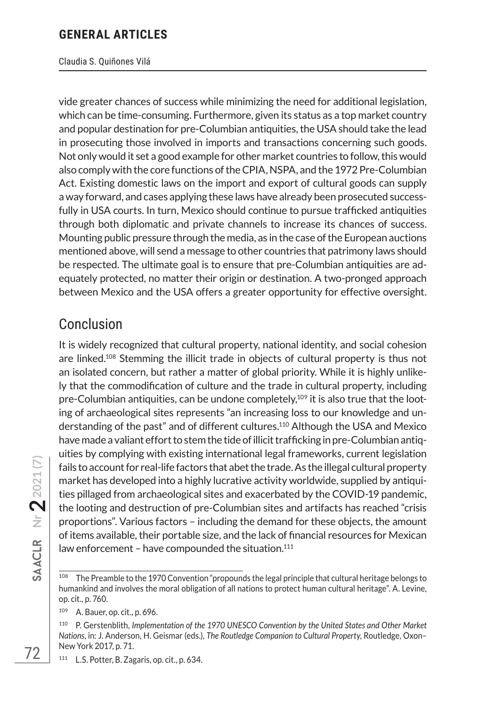#### Claudia S. Quiñones Vilá

vide greater chances of success while minimizing the need for additional legislation, which can be time-consuming. Furthermore, given its status as a top market country and popular destination for pre-Columbian antiquities, the USA should take the lead in prosecuting those involved in imports and transactions concerning such goods. Not only would it set a good example for other market countries to follow, this would also comply with the core functions of the CPIA, NSPA, and the 1972 Pre-Columbian Act. Existing domestic laws on the import and export of cultural goods can supply a way forward, and cases applying these laws have already been prosecuted successfully in USA courts. In turn, Mexico should continue to pursue trafficked antiquities through both diplomatic and private channels to increase its chances of success. Mounting public pressure through the media, as in the case of the European auctions mentioned above, will send a message to other countries that patrimony laws should be respected. The ultimate goal is to ensure that pre-Columbian antiquities are adequately protected, no matter their origin or destination. A two-pronged approach between Mexico and the USA offers a greater opportunity for effective oversight.

# Conclusion

It is widely recognized that cultural property, national identity, and social cohesion are linked.108 Stemming the illicit trade in objects of cultural property is thus not an isolated concern, but rather a matter of global priority. While it is highly unlikely that the commodification of culture and the trade in cultural property, including pre-Columbian antiquities, can be undone completely, $109$  it is also true that the looting of archaeological sites represents "an increasing loss to our knowledge and understanding of the past" and of different cultures.110 Although the USA and Mexico have made a valiant effort to stem the tide of illicit trafficking in pre-Columbian antiquities by complying with existing international legal frameworks, current legislation fails to account for real-life factors that abet the trade. As the illegal cultural property market has developed into a highly lucrative activity worldwide, supplied by antiquities pillaged from archaeological sites and exacerbated by the COVID-19 pandemic, the looting and destruction of pre-Columbian sites and artifacts has reached "crisis proportions". Various factors – including the demand for these objects, the amount of items available, their portable size, and the lack of financial resources for Mexican law enforcement – have compounded the situation. $111$ 

<sup>111</sup> L.S. Potter, B. Zagaris, op. cit., p. 634.

<sup>108</sup> The Preamble to the 1970 Convention "propounds the legal principle that cultural heritage belongs to humankind and involves the moral obligation of all nations to protect human cultural heritage". A. Levine, op. cit., p. 760.

<sup>109</sup> A. Bauer, op. cit., p. 696.

<sup>110</sup> P. Gerstenblith, *Implementation of the 1970 UNESCO Convention by the United States and Other Market Nations*, in: J. Anderson, H. Geismar (eds.), *The Routledge Companion to Cultural Property*, Routledge, Oxon– New York 2017, p. 71.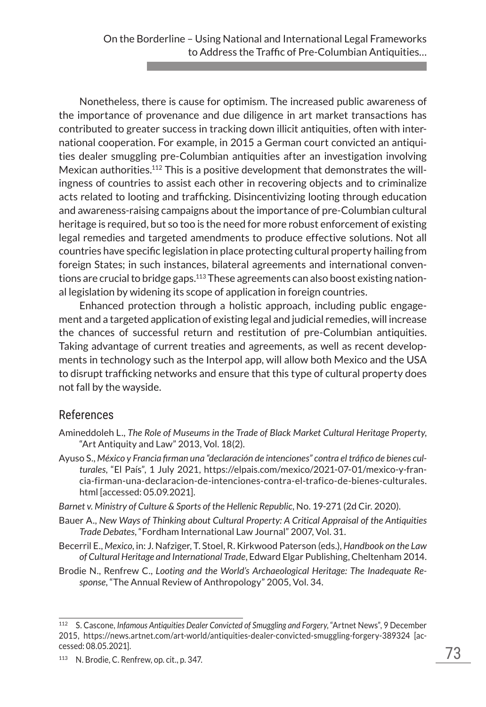Nonetheless, there is cause for optimism. The increased public awareness of the importance of provenance and due diligence in art market transactions has contributed to greater success in tracking down illicit antiquities, often with international cooperation. For example, in 2015 a German court convicted an antiquities dealer smuggling pre-Columbian antiquities after an investigation involving Mexican authorities.112 This is a positive development that demonstrates the willingness of countries to assist each other in recovering objects and to criminalize acts related to looting and trafficking. Disincentivizing looting through education and awareness-raising campaigns about the importance of pre-Columbian cultural heritage is required, but so too is the need for more robust enforcement of existing legal remedies and targeted amendments to produce effective solutions. Not all countries have specific legislation in place protecting cultural property hailing from foreign States; in such instances, bilateral agreements and international conventions are crucial to bridge gaps.<sup>113</sup> These agreements can also boost existing national legislation by widening its scope of application in foreign countries.

Enhanced protection through a holistic approach, including public engagement and a targeted application of existing legal and judicial remedies, will increase the chances of successful return and restitution of pre-Columbian antiquities. Taking advantage of current treaties and agreements, as well as recent developments in technology such as the Interpol app, will allow both Mexico and the USA to disrupt trafficking networks and ensure that this type of cultural property does not fall by the wayside.

## References

- Amineddoleh L., *The Role of Museums in the Trade of Black Market Cultural Heritage Property*, "Art Antiquity and Law" 2013, Vol. 18(2).
- Ayuso S., *México y Francia firman una "declaración de intenciones" contra el tráfico de bienes culturales*, "El País", 1 July 2021, https://elpais.com/mexico/2021-07-01/mexico-y-francia-firman-una-declaracion-de-intenciones-contra-el-trafico-de-bienes-culturales. html [accessed: 05.09.2021].
- *Barnet v. Ministry of Culture & Sports of the Hellenic Republic*, No. 19-271 (2d Cir. 2020).
- Bauer A., *New Ways of Thinking about Cultural Property: A Critical Appraisal of the Antiquities Trade Debates*, "Fordham International Law Journal" 2007, Vol. 31.
- Becerril E., *Mexico*, in: J. Nafziger, T. Stoel, R. Kirkwood Paterson (eds.), *Handbook on the Law of Cultural Heritage and International Trade*, Edward Elgar Publishing, Cheltenham 2014.
- Brodie N., Renfrew C., *Looting and the World's Archaeological Heritage: The Inadequate Response*, "The Annual Review of Anthropology" 2005, Vol. 34.

<sup>112</sup> S. Cascone, *Infamous Antiquities Dealer Convicted of Smuggling and Forgery*, "Artnet News", 9 December 2015, https://news.artnet.com/art-world/antiquities-dealer-convicted-smuggling-forgery-389324 [accessed: 08.05.2021].

<sup>113</sup> N. Brodie, C. Renfrew, op. cit., p. 347.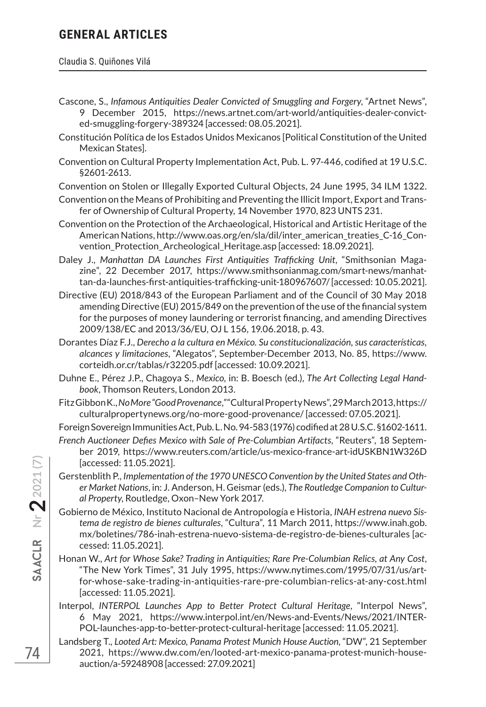#### Claudia S. Quiñones Vilá

- Cascone, S., *Infamous Antiquities Dealer Convicted of Smuggling and Forgery*, "Artnet News", 9 December 2015, https://news.artnet.com/art-world/antiquities-dealer-convicted-smuggling-forgery-389324 [accessed: 08.05.2021].
- Constitución Política de los Estados Unidos Mexicanos [Political Constitution of the United Mexican States].
- Convention on Cultural Property Implementation Act, Pub. L. 97-446, codified at 19 U.S.C. §2601-2613.

Convention on Stolen or Illegally Exported Cultural Objects, 24 June 1995, 34 ILM 1322.

- Convention on the Means of Prohibiting and Preventing the Illicit Import, Export and Transfer of Ownership of Cultural Property, 14 November 1970, 823 UNTS 231.
- Convention on the Protection of the Archaeological, Historical and Artistic Heritage of the American Nations, http://www.oas.org/en/sla/dil/inter\_american\_treaties\_C-16\_Convention\_Protection\_Archeological\_Heritage.asp [accessed: 18.09.2021].
- Daley J., *Manhattan DA Launches First Antiquities Trafficking Unit*, "Smithsonian Magazine", 22 December 2017, https://www.smithsonianmag.com/smart-news/manhattan-da-launches-first-antiquities-trafficking-unit-180967607/ [accessed: 10.05.2021].
- Directive (EU) 2018/843 of the European Parliament and of the Council of 30 May 2018 amending Directive (EU) 2015/849 on the prevention of the use of the financial system for the purposes of money laundering or terrorist financing, and amending Directives 2009/138/EC and 2013/36/EU, OJ L 156, 19.06.2018, p. 43.
- Dorantes Díaz F.J., *Derecho a la cultura en México. Su constitucionalización, sus características, alcances y limitaciones*, "Alegatos", September-December 2013, No. 85, https://www. corteidh.or.cr/tablas/r32205.pdf [accessed: 10.09.2021].
- Duhne E., Pérez J.P., Chagoya S., *Mexico*, in: B. Boesch (ed.), *The Art Collecting Legal Handbook*, Thomson Reuters, London 2013.
- Fitz Gibbon K., *No More "Good Provenance*,*"* "Cultural Property News", 29 March 2013, https:// culturalpropertynews.org/no-more-good-provenance/ [accessed: 07.05.2021].

Foreign Sovereign Immunities Act, Pub. L. No. 94-583 (1976) codified at 28 U.S.C. §1602-1611.

- *French Auctioneer Defies Mexico with Sale of Pre-Columbian Artifacts*, "Reuters", 18 September 2019, https://www.reuters.com/article/us-mexico-france-art-idUSKBN1W326D [accessed: 11.05.2021].
- Gerstenblith P., *Implementation of the 1970 UNESCO Convention by the United States and Other Market Nations*, in: J. Anderson, H. Geismar (eds.), *The Routledge Companion to Cultural Property*, Routledge, Oxon–New York 2017.
- Gobierno de México, Instituto Nacional de Antropología e Historia, *INAH estrena nuevo Sistema de registro de bienes culturales*, "Cultura", 11 March 2011, https://www.inah.gob. mx/boletines/786-inah-estrena-nuevo-sistema-de-registro-de-bienes-culturales [accessed: 11.05.2021].
- Honan W., *Art for Whose Sake? Trading in Antiquities; Rare Pre-Columbian Relics, at Any Cost*, "The New York Times", 31 July 1995, https://www.nytimes.com/1995/07/31/us/artfor-whose-sake-trading-in-antiquities-rare-pre-columbian-relics-at-any-cost.html [accessed: 11.05.2021].
- Interpol, *INTERPOL Launches App to Better Protect Cultural Heritage*, "Interpol News", 6 May 2021, https://www.interpol.int/en/News-and-Events/News/2021/INTER-POL-launches-app-to-better-protect-cultural-heritage [accessed: 11.05.2021].
- Landsberg T., *Looted Art: Mexico, Panama Protest Munich House Auction*, "DW", 21 September 2021, https://www.dw.com/en/looted-art-mexico-panama-protest-munich-houseauction/a-59248908 [accessed: 27.09.2021]

**Nr 22021 (7)**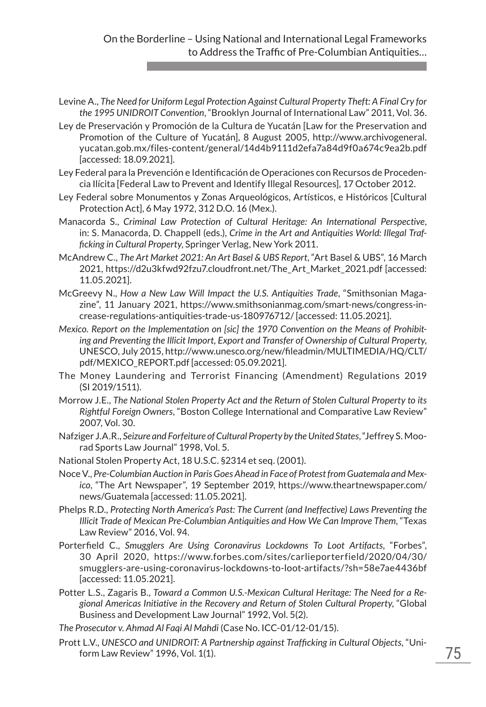- Levine A., *The Need for Uniform Legal Protection Against Cultural Property Theft: A Final Cry for the 1995 UNIDROIT Convention*, "Brooklyn Journal of International Law" 2011, Vol. 36.
- Ley de Preservación y Promoción de la Cultura de Yucatán [Law for the Preservation and Promotion of the Culture of Yucatán], 8 August 2005, http://www.archivogeneral. yucatan.gob.mx/files-content/general/14d4b9111d2efa7a84d9f0a674c9ea2b.pdf [accessed: 18.09.2021].
- Ley Federal para la Prevención e Identificación de Operaciones con Recursos de Procedencia Ilícita [Federal Law to Prevent and Identify Illegal Resources], 17 October 2012.
- Ley Federal sobre Monumentos y Zonas Arqueológicos, Artísticos, e Históricos [Cultural Protection Act], 6 May 1972, 312 D.O. 16 (Mex.).
- Manacorda S., *Criminal Law Protection of Cultural Heritage: An International Perspective*, in: S. Manacorda, D. Chappell (eds.), *Crime in the Art and Antiquities World: Illegal Trafficking in Cultural Property*, Springer Verlag, New York 2011.
- McAndrew C., *The Art Market 2021: An Art Basel & UBS Report*, "Art Basel & UBS", 16 March 2021, https://d2u3kfwd92fzu7.cloudfront.net/The\_Art\_Market\_2021.pdf [accessed: 11.05.2021].
- McGreevy N., *How a New Law Will Impact the U.S. Antiquities Trade*, "Smithsonian Magazine", 11 January 2021, https://www.smithsonianmag.com/smart-news/congress-increase-regulations-antiquities-trade-us-180976712/ [accessed: 11.05.2021].
- *Mexico. Report on the Implementation on [sic] the 1970 Convention on the Means of Prohibiting and Preventing the Illicit Import, Export and Transfer of Ownership of Cultural Property*, UNESCO, July 2015, http://www.unesco.org/new/fileadmin/MULTIMEDIA/HQ/CLT/ pdf/MEXICO\_REPORT.pdf [accessed: 05.09.2021].
- The Money Laundering and Terrorist Financing (Amendment) Regulations 2019 (SI 2019/1511).
- Morrow J.E., *The National Stolen Property Act and the Return of Stolen Cultural Property to its Rightful Foreign Owners*, "Boston College International and Comparative Law Review" 2007, Vol. 30.
- Nafziger J.A.R., *Seizure and Forfeiture of Cultural Property by the United States*, "Jeffrey S. Moorad Sports Law Journal" 1998, Vol. 5.
- National Stolen Property Act, 18 U.S.C. §2314 et seq. (2001).
- Noce V., *Pre-Columbian Auction in Paris Goes Ahead in Face of Protest from Guatemala and Mexico*, "The Art Newspaper", 19 September 2019, https://www.theartnewspaper.com/ news/Guatemala [accessed: 11.05.2021].
- Phelps R.D., *Protecting North America's Past: The Current (and Ineffective) Laws Preventing the Illicit Trade of Mexican Pre-Columbian Antiquities and How We Can Improve Them*, "Texas Law Review" 2016, Vol. 94.
- Porterfield C., *Smugglers Are Using Coronavirus Lockdowns To Loot Artifacts*, "Forbes", 30 April 2020, https://www.forbes.com/sites/carlieporterfield/2020/04/30/ smugglers-are-using-coronavirus-lockdowns-to-loot-artifacts/?sh=58e7ae4436bf [accessed: 11.05.2021].
- Potter L.S., Zagaris B., *Toward a Common U.S.-Mexican Cultural Heritage: The Need for a Regional Americas Initiative in the Recovery and Return of Stolen Cultural Property*, "Global Business and Development Law Journal" 1992, Vol. 5(2).
- *The Prosecutor v. Ahmad Al Faqi Al Mahdi* (Case No. ICC-01/12-01/15).
- Prott L.V., *UNESCO and UNIDROIT: A Partnership against Trafficking in Cultural Objects*, "Uniform Law Review" 1996, Vol. 1(1).